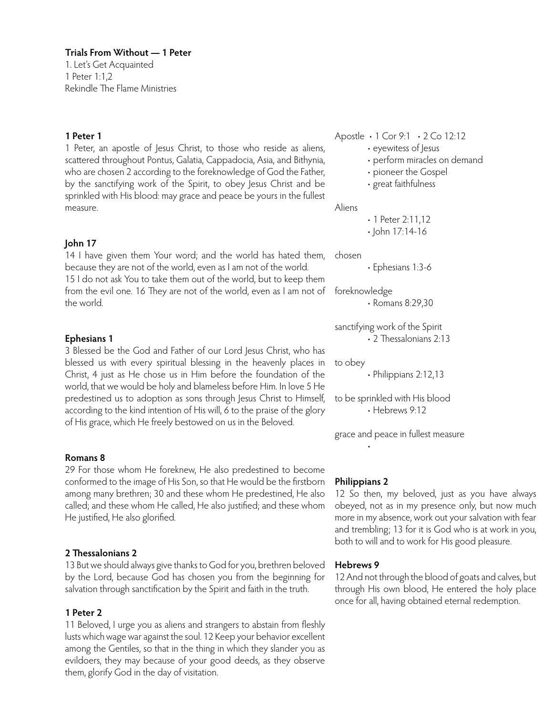1. Let's Get Acquainted 1 Peter 1:1,2 Rekindle The Flame Ministries

# **1 Peter 1**

1 Peter, an apostle of Jesus Christ, to those who reside as aliens, scattered throughout Pontus, Galatia, Cappadocia, Asia, and Bithynia, who are chosen 2 according to the foreknowledge of God the Father, by the sanctifying work of the Spirit, to obey Jesus Christ and be sprinkled with His blood: may grace and peace be yours in the fullest measure.

# **John 17**

14 I have given them Your word; and the world has hated them, because they are not of the world, even as I am not of the world. 15 I do not ask You to take them out of the world, but to keep them from the evil one. 16 They are not of the world, even as I am not of the world.

# **Ephesians 1**

3 Blessed be the God and Father of our Lord Jesus Christ, who has blessed us with every spiritual blessing in the heavenly places in Christ, 4 just as He chose us in Him before the foundation of the world, that we would be holy and blameless before Him. In love 5 He predestined us to adoption as sons through Jesus Christ to Himself, according to the kind intention of His will, 6 to the praise of the glory of His grace, which He freely bestowed on us in the Beloved.

# **Romans 8**

29 For those whom He foreknew, He also predestined to become conformed to the image of His Son, so that He would be the firstborn among many brethren; 30 and these whom He predestined, He also called; and these whom He called, He also justified; and these whom He justified, He also glorified.

# **2 Thessalonians 2**

13 But we should always give thanks to God for you, brethren beloved by the Lord, because God has chosen you from the beginning for salvation through sanctification by the Spirit and faith in the truth.

# **1 Peter 2**

11 Beloved, I urge you as aliens and strangers to abstain from fleshly lusts which wage war against the soul. 12 Keep your behavior excellent among the Gentiles, so that in the thing in which they slander you as evildoers, they may because of your good deeds, as they observe them, glorify God in the day of visitation.

Apostle • 1 Cor 9:1 • 2 Co 12:12

- eyewitess of Jesus
- perform miracles on demand
- pioneer the Gospel
- great faithfulness

Aliens

• 1 Peter 2:11,12 • John 17:14-16

chosen

• Ephesians 1:3-6

foreknowledge • Romans 8:29,30

sanctifying work of the Spirit • 2 Thessalonians 2:13

to obey

• Philippians 2:12,13

to be sprinkled with His blood • Hebrews 9:12

grace and peace in fullest measure

# **Philippians 2**

•

12 So then, my beloved, just as you have always obeyed, not as in my presence only, but now much more in my absence, work out your salvation with fear and trembling; 13 for it is God who is at work in you, both to will and to work for His good pleasure.

# **Hebrews 9**

12 And not through the blood of goats and calves, but through His own blood, He entered the holy place once for all, having obtained eternal redemption.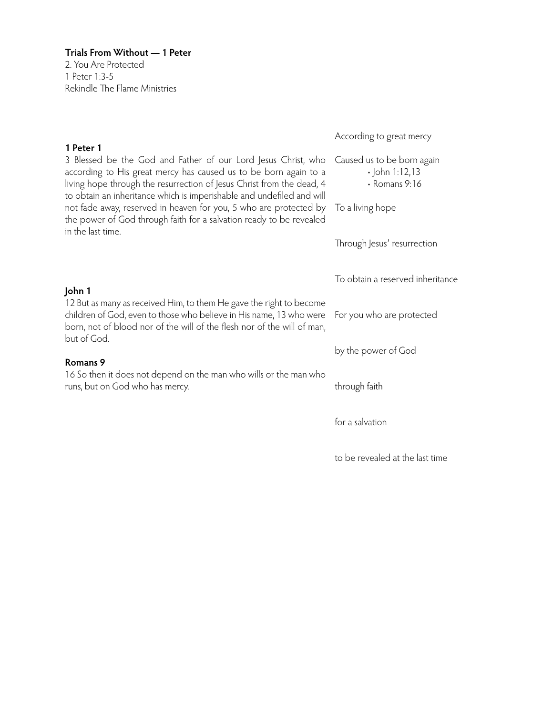**Trials From Without — 1 Peter** 2. You Are Protected 1 Peter 1:3-5 Rekindle The Flame Ministries

| According to great mercy                                                                                                                              |
|-------------------------------------------------------------------------------------------------------------------------------------------------------|
| 3 Blessed be the God and Father of our Lord Jesus Christ, who Caused us to be born again<br>$\cdot$ John 1:12,13<br>• Romans 9:16<br>To a living hope |
| Through Jesus' resurrection                                                                                                                           |
| To obtain a reserved inheritance                                                                                                                      |
| For you who are protected                                                                                                                             |
| by the power of God                                                                                                                                   |
| through faith                                                                                                                                         |
| for a salvation                                                                                                                                       |
|                                                                                                                                                       |
|                                                                                                                                                       |

to be revealed at the last time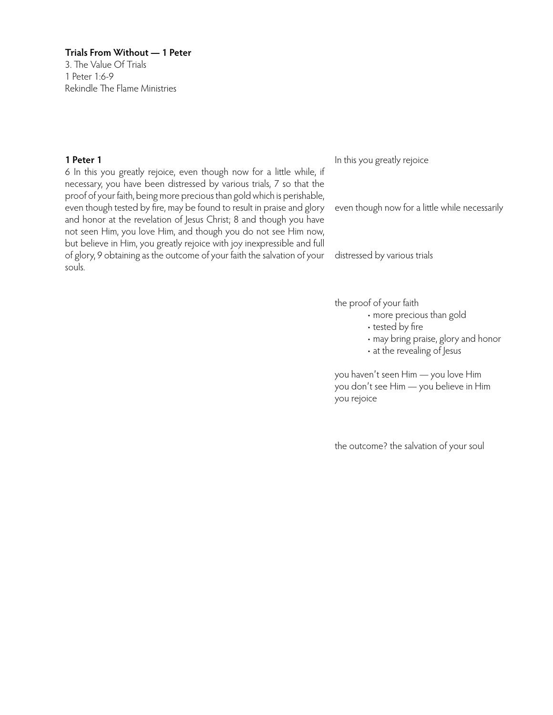3. The Value Of Trials 1 Peter 1:6-9 Rekindle The Flame Ministries

# **1 Peter 1**

6 In this you greatly rejoice, even though now for a little while, if necessary, you have been distressed by various trials, 7 so that the proof of your faith, being more precious than gold which is perishable, even though tested by fire, may be found to result in praise and glory and honor at the revelation of Jesus Christ; 8 and though you have not seen Him, you love Him, and though you do not see Him now, but believe in Him, you greatly rejoice with joy inexpressible and full of glory, 9 obtaining as the outcome of your faith the salvation of your souls.

In this you greatly rejoice

even though now for a little while necessarily

distressed by various trials

the proof of your faith

- more precious than gold
- tested by fire
- may bring praise, glory and honor
- at the revealing of Jesus

you haven't seen Him — you love Him you don't see Him — you believe in Him you rejoice

the outcome? the salvation of your soul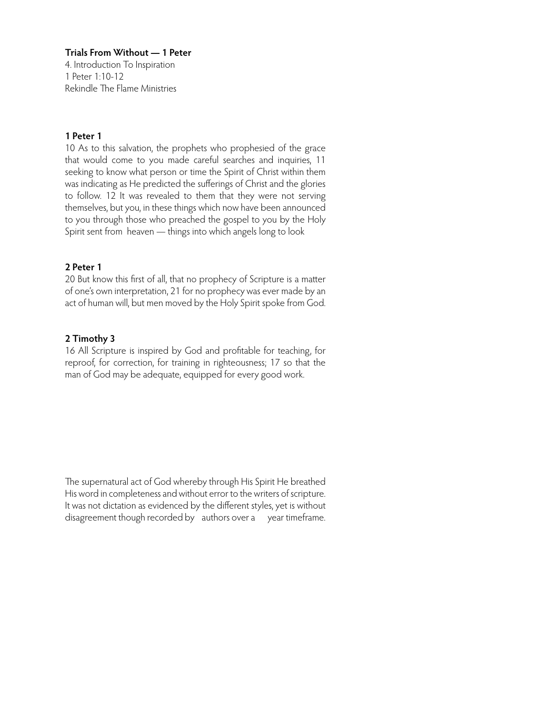4. Introduction To Inspiration 1 Peter 1:10-12 Rekindle The Flame Ministries

# **1 Peter 1**

10 As to this salvation, the prophets who prophesied of the grace that would come to you made careful searches and inquiries, 11 seeking to know what person or time the Spirit of Christ within them was indicating as He predicted the sufferings of Christ and the glories to follow. 12 It was revealed to them that they were not serving themselves, but you, in these things which now have been announced to you through those who preached the gospel to you by the Holy Spirit sent from heaven — things into which angels long to look

# **2 Peter 1**

20 But know this first of all, that no prophecy of Scripture is a matter of one's own interpretation, 21 for no prophecy was ever made by an act of human will, but men moved by the Holy Spirit spoke from God.

# **2 Timothy 3**

16 All Scripture is inspired by God and profitable for teaching, for reproof, for correction, for training in righteousness; 17 so that the man of God may be adequate, equipped for every good work.

The supernatural act of God whereby through His Spirit He breathed His word in completeness and without error to the writers of scripture. It was not dictation as evidenced by the different styles, yet is without disagreement though recorded by authors over a year timeframe.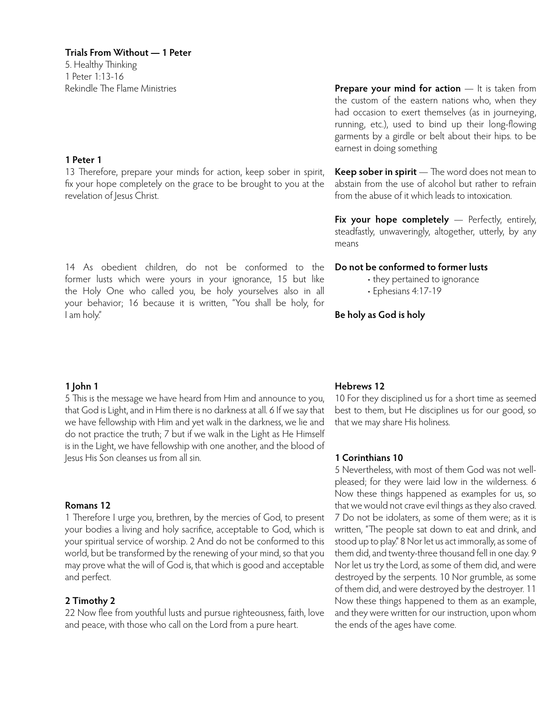5. Healthy Thinking 1 Peter 1:13-16 Rekindle The Flame Ministries

#### **1 Peter 1**

13 Therefore, prepare your minds for action, keep sober in spirit, fix your hope completely on the grace to be brought to you at the revelation of Jesus Christ.

14 As obedient children, do not be conformed to the former lusts which were yours in your ignorance, 15 but like the Holy One who called you, be holy yourselves also in all your behavior; 16 because it is written, "You shall be holy, for I am holy."

# **Prepare your mind for action** — It is taken from the custom of the eastern nations who, when they had occasion to exert themselves (as in journeying, running, etc.), used to bind up their long-flowing garments by a girdle or belt about their hips. to be earnest in doing something

**Keep sober in spirit** — The word does not mean to abstain from the use of alcohol but rather to refrain from the abuse of it which leads to intoxication.

**Fix your hope completely** — Perfectly, entirely, steadfastly, unwaveringly, altogether, utterly, by any means

#### **Do not be conformed to former lusts**

• they pertained to ignorance

• Ephesians 4:17-19

# **Be holy as God is holy**

# **1 John 1**

5 This is the message we have heard from Him and announce to you, that God is Light, and in Him there is no darkness at all. 6 If we say that we have fellowship with Him and yet walk in the darkness, we lie and do not practice the truth; 7 but if we walk in the Light as He Himself is in the Light, we have fellowship with one another, and the blood of Jesus His Son cleanses us from all sin.

#### **Romans 12**

1 Therefore I urge you, brethren, by the mercies of God, to present your bodies a living and holy sacrifice, acceptable to God, which is your spiritual service of worship. 2 And do not be conformed to this world, but be transformed by the renewing of your mind, so that you may prove what the will of God is, that which is good and acceptable and perfect.

# **2 Timothy 2**

22 Now flee from youthful lusts and pursue righteousness, faith, love and peace, with those who call on the Lord from a pure heart.

# **Hebrews 12**

10 For they disciplined us for a short time as seemed best to them, but He disciplines us for our good, so that we may share His holiness.

#### **1 Corinthians 10**

5 Nevertheless, with most of them God was not wellpleased; for they were laid low in the wilderness. 6 Now these things happened as examples for us, so that we would not crave evil things as they also craved. 7 Do not be idolaters, as some of them were; as it is written, "The people sat down to eat and drink, and stood up to play." 8 Nor let us act immorally, as some of them did, and twenty-three thousand fell in one day. 9 Nor let us try the Lord, as some of them did, and were destroyed by the serpents. 10 Nor grumble, as some of them did, and were destroyed by the destroyer. 11 Now these things happened to them as an example, and they were written for our instruction, upon whom the ends of the ages have come.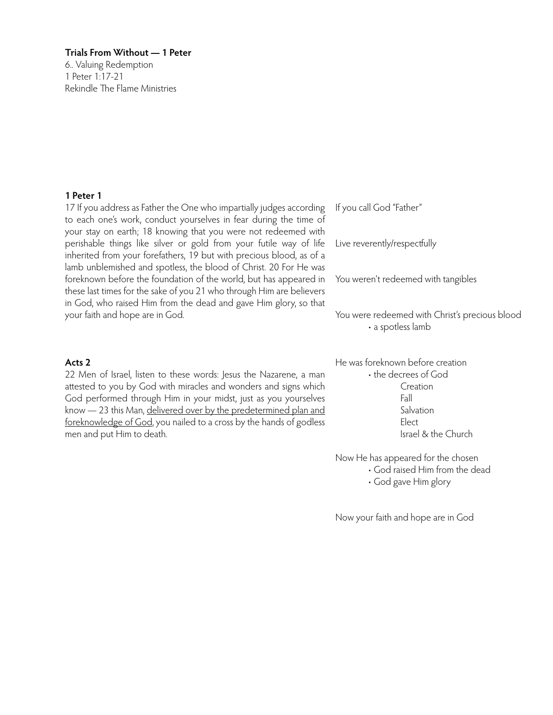6.. Valuing Redemption 1 Peter 1:17-21 Rekindle The Flame Ministries

#### **1 Peter 1**

17 If you address as Father the One who impartially judges according to each one's work, conduct yourselves in fear during the time of your stay on earth; 18 knowing that you were not redeemed with perishable things like silver or gold from your futile way of life inherited from your forefathers, 19 but with precious blood, as of a lamb unblemished and spotless, the blood of Christ. 20 For He was foreknown before the foundation of the world, but has appeared in these last times for the sake of you 21 who through Him are believers in God, who raised Him from the dead and gave Him glory, so that your faith and hope are in God.

#### **Acts 2**

22 Men of Israel, listen to these words: Jesus the Nazarene, a man attested to you by God with miracles and wonders and signs which God performed through Him in your midst, just as you yourselves know - 23 this Man, delivered over by the predetermined plan and foreknowledge of God, you nailed to a cross by the hands of godless men and put Him to death.

If you call God "Father"

Live reverently/respectfully

You weren't redeemed with tangibles

You were redeemed with Christ's precious blood • a spotless lamb

He was foreknown before creation • the decrees of God Creation Fall Salvation Elect Israel & the Church

Now He has appeared for the chosen • God raised Him from the dead • God gave Him glory

Now your faith and hope are in God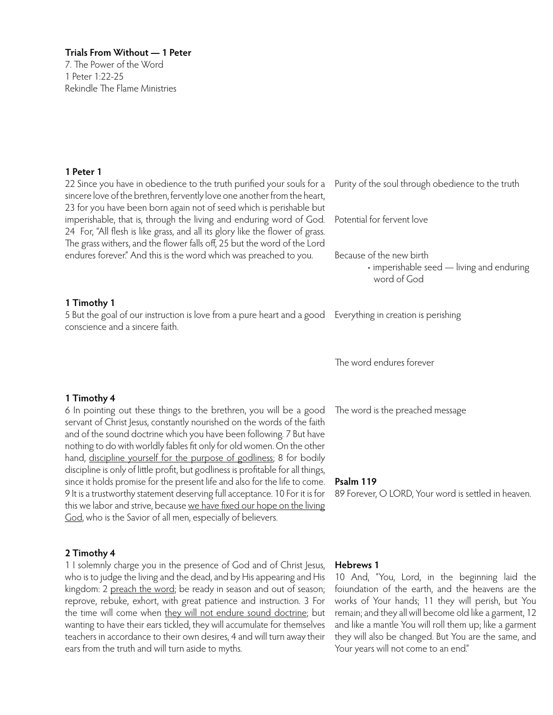7. The Power of the Word 1 Peter 1:22-25 Rekindle The Flame Ministries

#### **1 Peter 1**

22 Since you have in obedience to the truth purified your souls for a sincere love of the brethren, fervently love one another from the heart, 23 for you have been born again not of seed which is perishable but imperishable, that is, through the living and enduring word of God. 24 For, "All flesh is like grass, and all its glory like the flower of grass. The grass withers, and the flower falls off, 25 but the word of the Lord endures forever." And this is the word which was preached to you. Purity of the soul through obedience to the truth Potential for fervent love Because of the new birth • imperishable seed — living and enduring

#### **1 Timothy 1**

5 But the goal of our instruction is love from a pure heart and a good Everything in creation is perishing conscience and a sincere faith.

**1 Timothy 4**

6 In pointing out these things to the brethren, you will be a good servant of Christ Jesus, constantly nourished on the words of the faith and of the sound doctrine which you have been following. 7 But have nothing to do with worldly fables fit only for old women. On the other hand, discipline yourself for the purpose of godliness; 8 for bodily discipline is only of little profit, but godliness is profitable for all things, since it holds promise for the present life and also for the life to come. 9 It is a trustworthy statement deserving full acceptance. 10 For it is for this we labor and strive, because we have fixed our hope on the living God, who is the Savior of all men, especially of believers.

#### **2 Timothy 4**

1 I solemnly charge you in the presence of God and of Christ Jesus, who is to judge the living and the dead, and by His appearing and His kingdom: 2 preach the word; be ready in season and out of season; reprove, rebuke, exhort, with great patience and instruction. 3 For the time will come when they will not endure sound doctrine; but wanting to have their ears tickled, they will accumulate for themselves teachers in accordance to their own desires, 4 and will turn away their ears from the truth and will turn aside to myths.

# word of God

The word endures forever

The word is the preached message

#### **Psalm 119**

89 Forever, O LORD, Your word is settled in heaven.

#### **Hebrews 1**

10 And, "You, Lord, in the beginning laid the foiundation of the earth, and the heavens are the works of Your hands; 11 they will perish, but You remain; and they all will become old like a garment, 12 and like a mantle You will roll them up; like a garment they will also be changed. But You are the same, and Your years will not come to an end."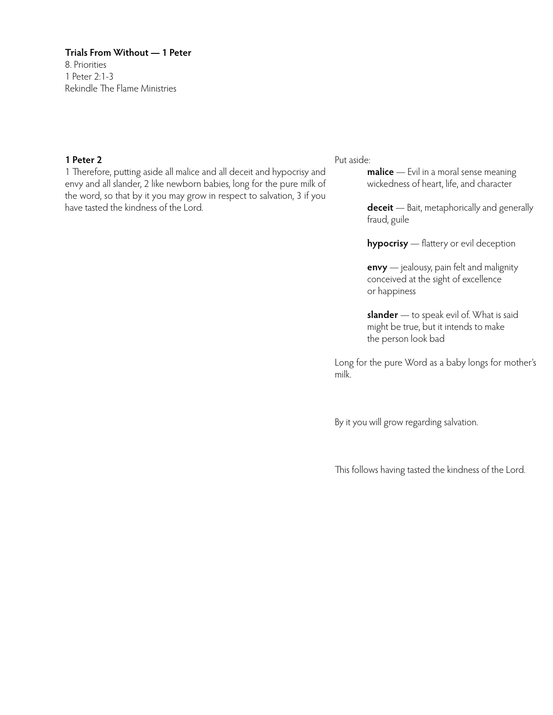8. Priorities 1 Peter 2:1-3 Rekindle The Flame Ministries

#### **1 Peter 2**

1 Therefore, putting aside all malice and all deceit and hypocrisy and envy and all slander, 2 like newborn babies, long for the pure milk of the word, so that by it you may grow in respect to salvation, 3 if you have tasted the kindness of the Lord.

#### Put aside:

**malice** — Evil in a moral sense meaning wickedness of heart, life, and character

**deceit** — Bait, metaphorically and generally fraud, guile

**hypocrisy** — flattery or evil deception

**envy** — jealousy, pain felt and malignity conceived at the sight of excellence or happiness

**slander** — to speak evil of. What is said might be true, but it intends to make the person look bad

Long for the pure Word as a baby longs for mother's milk.

By it you will grow regarding salvation.

This follows having tasted the kindness of the Lord.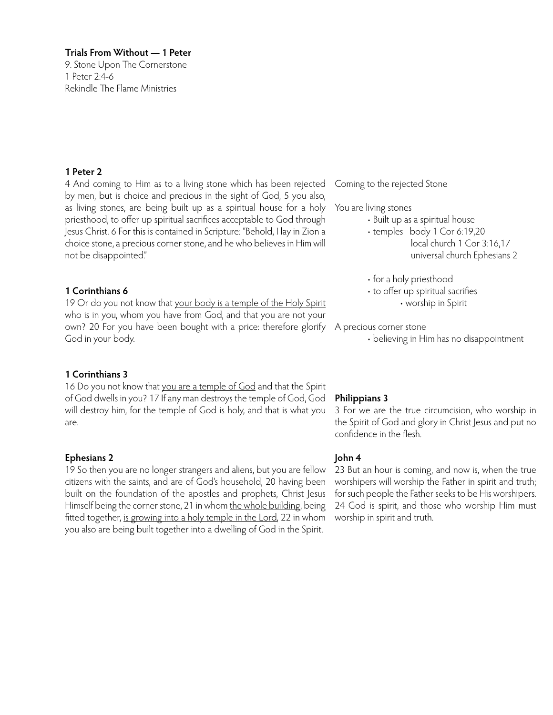9. Stone Upon The Cornerstone 1 Peter 2:4-6 Rekindle The Flame Ministries

# **1 Peter 2**

4 And coming to Him as to a living stone which has been rejected by men, but is choice and precious in the sight of God, 5 you also, as living stones, are being built up as a spiritual house for a holy priesthood, to offer up spiritual sacrifices acceptable to God through Jesus Christ. 6 For this is contained in Scripture: "Behold, I lay in Zion a choice stone, a precious corner stone, and he who believes in Him will not be disappointed."

# **1 Corinthians 6**

19 Or do you not know that your body is a temple of the Holy Spirit who is in you, whom you have from God, and that you are not your own? 20 For you have been bought with a price: therefore glorify A precious corner stone God in your body.

# **1 Corinthians 3**

16 Do you not know that you are a temple of God and that the Spirit of God dwells in you? 17 If any man destroys the temple of God, God will destroy him, for the temple of God is holy, and that is what you are.

#### **Ephesians 2**

19 So then you are no longer strangers and aliens, but you are fellow citizens with the saints, and are of God's household, 20 having been built on the foundation of the apostles and prophets, Christ Jesus Himself being the corner stone, 21 in whom the whole building, being fitted together, is growing into a holy temple in the Lord, 22 in whom you also are being built together into a dwelling of God in the Spirit.

Coming to the rejected Stone

You are living stones

- Built up as a spiritual house
- temples body 1 Cor 6:19,20
	- local church 1 Cor 3:16,17 universal church Ephesians 2

• for a holy priesthood

- to offer up spiritual sacrifies
	- worship in Spirit

• believing in Him has no disappointment

# **Philippians 3**

3 For we are the true circumcision, who worship in the Spirit of God and glory in Christ Jesus and put no confidence in the flesh.

# **John 4**

23 But an hour is coming, and now is, when the true worshipers will worship the Father in spirit and truth; for such people the Father seeks to be His worshipers. 24 God is spirit, and those who worship Him must worship in spirit and truth.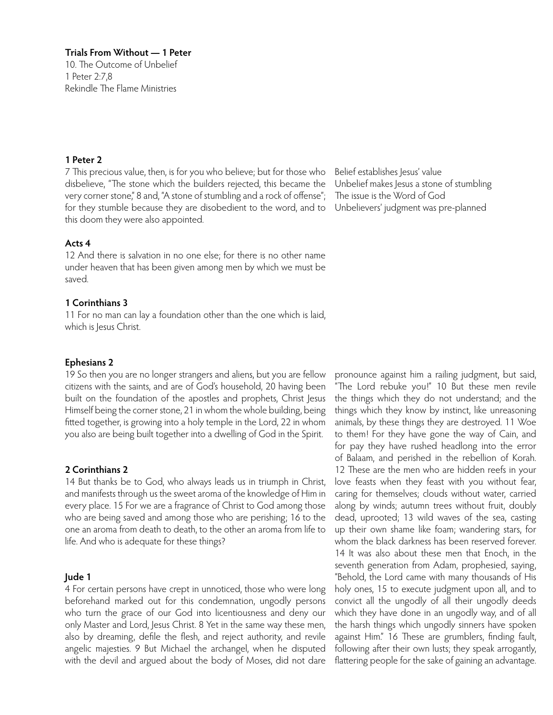**Trials From Without — 1 Peter** 10. The Outcome of Unbelief 1 Peter 2:7,8 Rekindle The Flame Ministries

#### **1 Peter 2**

7 This precious value, then, is for you who believe; but for those who disbelieve, "The stone which the builders rejected, this became the very corner stone," 8 and, "A stone of stumbling and a rock of offense"; for they stumble because they are disobedient to the word, and to this doom they were also appointed.

#### **Acts 4**

12 And there is salvation in no one else; for there is no other name under heaven that has been given among men by which we must be saved.

#### **1 Corinthians 3**

11 For no man can lay a foundation other than the one which is laid, which is Jesus Christ.

#### **Ephesians 2**

19 So then you are no longer strangers and aliens, but you are fellow citizens with the saints, and are of God's household, 20 having been built on the foundation of the apostles and prophets, Christ Jesus Himself being the corner stone, 21 in whom the whole building, being fitted together, is growing into a holy temple in the Lord, 22 in whom you also are being built together into a dwelling of God in the Spirit.

#### **2 Corinthians 2**

14 But thanks be to God, who always leads us in triumph in Christ, and manifests through us the sweet aroma of the knowledge of Him in every place. 15 For we are a fragrance of Christ to God among those who are being saved and among those who are perishing; 16 to the one an aroma from death to death, to the other an aroma from life to life. And who is adequate for these things?

#### **Jude 1**

4 For certain persons have crept in unnoticed, those who were long beforehand marked out for this condemnation, ungodly persons who turn the grace of our God into licentiousness and deny our only Master and Lord, Jesus Christ. 8 Yet in the same way these men, also by dreaming, defile the flesh, and reject authority, and revile angelic majesties. 9 But Michael the archangel, when he disputed with the devil and argued about the body of Moses, did not dare

Belief establishes Jesus' value Unbelief makes Jesus a stone of stumbling The issue is the Word of God Unbelievers' judgment was pre-planned

pronounce against him a railing judgment, but said, "The Lord rebuke you!" 10 But these men revile the things which they do not understand; and the things which they know by instinct, like unreasoning animals, by these things they are destroyed. 11 Woe to them! For they have gone the way of Cain, and for pay they have rushed headlong into the error of Balaam, and perished in the rebellion of Korah. 12 These are the men who are hidden reefs in your love feasts when they feast with you without fear, caring for themselves; clouds without water, carried along by winds; autumn trees without fruit, doubly dead, uprooted; 13 wild waves of the sea, casting up their own shame like foam; wandering stars, for whom the black darkness has been reserved forever. 14 It was also about these men that Enoch, in the seventh generation from Adam, prophesied, saying, "Behold, the Lord came with many thousands of His holy ones, 15 to execute judgment upon all, and to convict all the ungodly of all their ungodly deeds which they have done in an ungodly way, and of all the harsh things which ungodly sinners have spoken against Him." 16 These are grumblers, finding fault, following after their own lusts; they speak arrogantly, flattering people for the sake of gaining an advantage.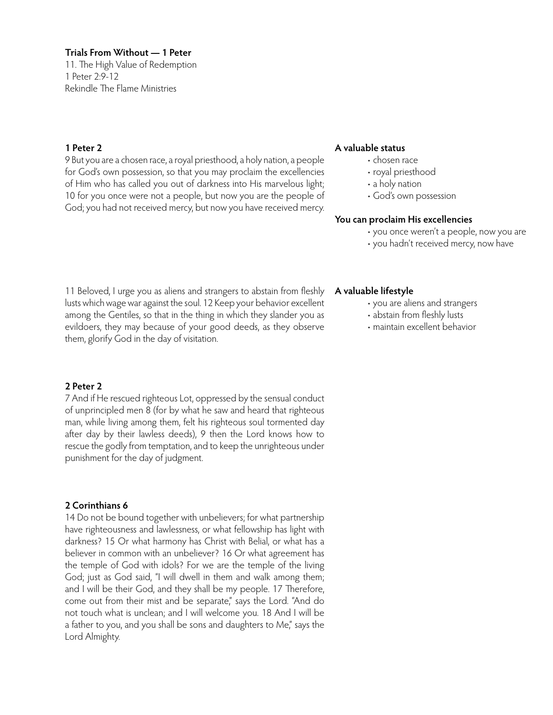11. The High Value of Redemption 1 Peter 2:9-12 Rekindle The Flame Ministries

#### **1 Peter 2**

9 But you are a chosen race, a royal priesthood, a holy nation, a people for God's own possession, so that you may proclaim the excellencies of Him who has called you out of darkness into His marvelous light; 10 for you once were not a people, but now you are the people of God; you had not received mercy, but now you have received mercy.

#### **A valuable status**

- chosen race
	- royal priesthood
- a holy nation
- God's own possession

#### **You can proclaim His excellencies**

- you once weren't a people, now you are
- you hadn't received mercy, now have

11 Beloved, I urge you as aliens and strangers to abstain from fleshly lusts which wage war against the soul. 12 Keep your behavior excellent among the Gentiles, so that in the thing in which they slander you as evildoers, they may because of your good deeds, as they observe them, glorify God in the day of visitation.

#### **2 Peter 2**

7 And if He rescued righteous Lot, oppressed by the sensual conduct of unprincipled men 8 (for by what he saw and heard that righteous man, while living among them, felt his righteous soul tormented day after day by their lawless deeds), 9 then the Lord knows how to rescue the godly from temptation, and to keep the unrighteous under punishment for the day of judgment.

#### **2 Corinthians 6**

14 Do not be bound together with unbelievers; for what partnership have righteousness and lawlessness, or what fellowship has light with darkness? 15 Or what harmony has Christ with Belial, or what has a believer in common with an unbeliever? 16 Or what agreement has the temple of God with idols? For we are the temple of the living God; just as God said, "I will dwell in them and walk among them; and I will be their God, and they shall be my people. 17 Therefore, come out from their mist and be separate," says the Lord. "And do not touch what is unclean; and I will welcome you. 18 And I will be a father to you, and you shall be sons and daughters to Me," says the Lord Almighty.

#### **A valuable lifestyle**

- you are aliens and strangers
- abstain from fleshly lusts
- maintain excellent behavior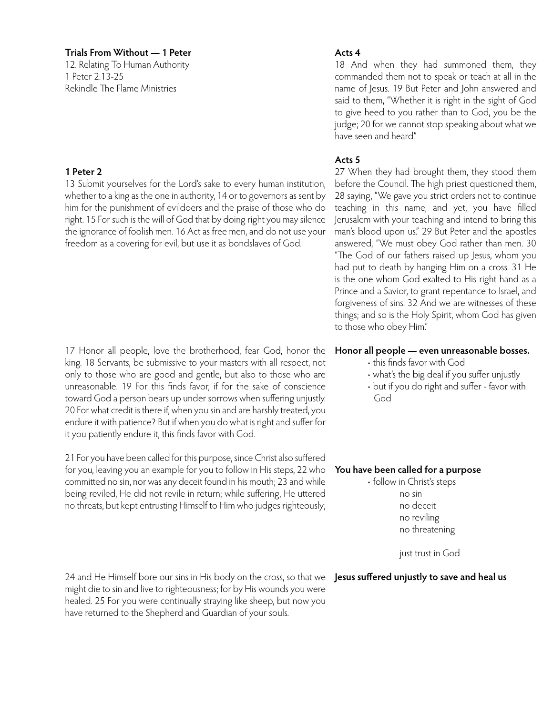12. Relating To Human Authority 1 Peter 2:13-25 Rekindle The Flame Ministries

#### **1 Peter 2**

13 Submit yourselves for the Lord's sake to every human institution, whether to a king as the one in authority, 14 or to governors as sent by him for the punishment of evildoers and the praise of those who do right. 15 For such is the will of God that by doing right you may silence the ignorance of foolish men. 16 Act as free men, and do not use your freedom as a covering for evil, but use it as bondslaves of God.

17 Honor all people, love the brotherhood, fear God, honor the king. 18 Servants, be submissive to your masters with all respect, not only to those who are good and gentle, but also to those who are unreasonable. 19 For this finds favor, if for the sake of conscience toward God a person bears up under sorrows when suffering unjustly. 20 For what credit is there if, when you sin and are harshly treated, you endure it with patience? But if when you do what is right and suffer for it you patiently endure it, this finds favor with God.

21 For you have been called for this purpose, since Christ also suffered for you, leaving you an example for you to follow in His steps, 22 who **You have been called for a purpose** committed no sin, nor was any deceit found in his mouth; 23 and while being reviled, He did not revile in return; while suffering, He uttered no threats, but kept entrusting Himself to Him who judges righteously;

24 and He Himself bore our sins in His body on the cross, so that we **Jesus suffered unjustly to save and heal us**might die to sin and live to righteousness; for by His wounds you were healed. 25 For you were continually straying like sheep, but now you have returned to the Shepherd and Guardian of your souls.

#### **Acts 4**

18 And when they had summoned them, they commanded them not to speak or teach at all in the name of Jesus. 19 But Peter and John answered and said to them, "Whether it is right in the sight of God to give heed to you rather than to God, you be the judge; 20 for we cannot stop speaking about what we have seen and heard"

#### **Acts 5**

27 When they had brought them, they stood them before the Council. The high priest questioned them, 28 saying, "We gave you strict orders not to continue teaching in this name, and yet, you have filled Jerusalem with your teaching and intend to bring this man's blood upon us." 29 But Peter and the apostles answered, "We must obey God rather than men. 30 "The God of our fathers raised up Jesus, whom you had put to death by hanging Him on a cross. 31 He is the one whom God exalted to His right hand as a Prince and a Savior, to grant repentance to Israel, and forgiveness of sins. 32 And we are witnesses of these things; and so is the Holy Spirit, whom God has given to those who obey Him."

#### **Honor all people — even unreasonable bosses.**

- this finds favor with God
- what's the big deal if you suffer unjustly
- but if you do right and suffer favor with God

• follow in Christ's steps no sin no deceit no reviling no threatening

just trust in God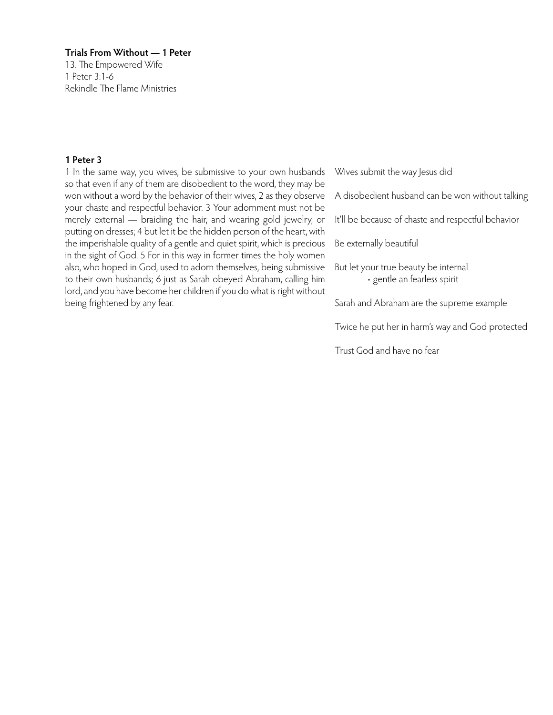13. The Empowered Wife 1 Peter 3:1-6 Rekindle The Flame Ministries

#### **1 Peter 3**

1 In the same way, you wives, be submissive to your own husbands so that even if any of them are disobedient to the word, they may be won without a word by the behavior of their wives, 2 as they observe your chaste and respectful behavior. 3 Your adornment must not be merely external — braiding the hair, and wearing gold jewelry, or putting on dresses; 4 but let it be the hidden person of the heart, with the imperishable quality of a gentle and quiet spirit, which is precious in the sight of God. 5 For in this way in former times the holy women also, who hoped in God, used to adorn themselves, being submissive to their own husbands; 6 just as Sarah obeyed Abraham, calling him lord, and you have become her children if you do what is right without being frightened by any fear.

Wives submit the way Jesus did

- A disobedient husband can be won without talking
- It'll be because of chaste and respectful behavior

Be externally beautiful

But let your true beauty be internal • gentle an fearless spirit

Sarah and Abraham are the supreme example

Twice he put her in harm's way and God protected

Trust God and have no fear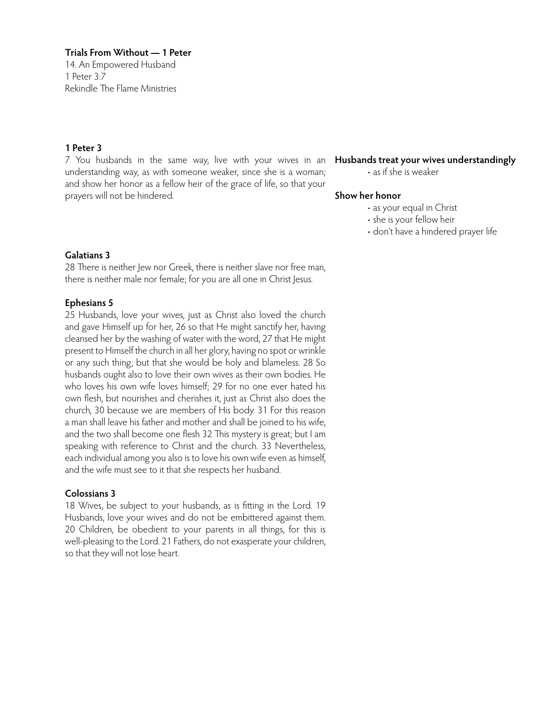14. An Empowered Husband 1 Peter 3:7 Rekindle The Flame Ministries

# **1 Peter 3**

7 You husbands in the same way, live with your wives in an **Husbands treat your wives understandingly** understanding way, as with someone weaker, since she is a woman; and show her honor as a fellow heir of the grace of life, so that your prayers will not be hindered.

• as if she is weaker

#### **Show her honor**

- as your equal in Christ
- she is your fellow heir
- don't have a hindered prayer life

#### **Galatians 3**

28 There is neither Jew nor Greek, there is neither slave nor free man, there is neither male nor female; for you are all one in Christ Jesus.

# **Ephesians 5**

25 Husbands, love your wives, just as Christ also loved the church and gave Himself up for her, 26 so that He might sanctify her, having cleansed her by the washing of water with the word, 27 that He might present to Himself the church in all her glory, having no spot or wrinkle or any such thing; but that she would be holy and blameless. 28 So husbands ought also to love their own wives as their own bodies. He who loves his own wife loves himself; 29 for no one ever hated his own flesh, but nourishes and cherishes it, just as Christ also does the church, 30 because we are members of His body. 31 For this reason a man shall leave his father and mother and shall be joined to his wife, and the two shall become one flesh 32 This mystery is great; but I am speaking with reference to Christ and the church. 33 Nevertheless, each individual among you also is to love his own wife even as himself, and the wife must see to it that she respects her husband.

# **Colossians 3**

18 Wives, be subject to your husbands, as is fitting in the Lord. 19 Husbands, love your wives and do not be embittered against them. 20 Children, be obedient to your parents in all things, for this is well-pleasing to the Lord. 21 Fathers, do not exasperate your children, so that they will not lose heart.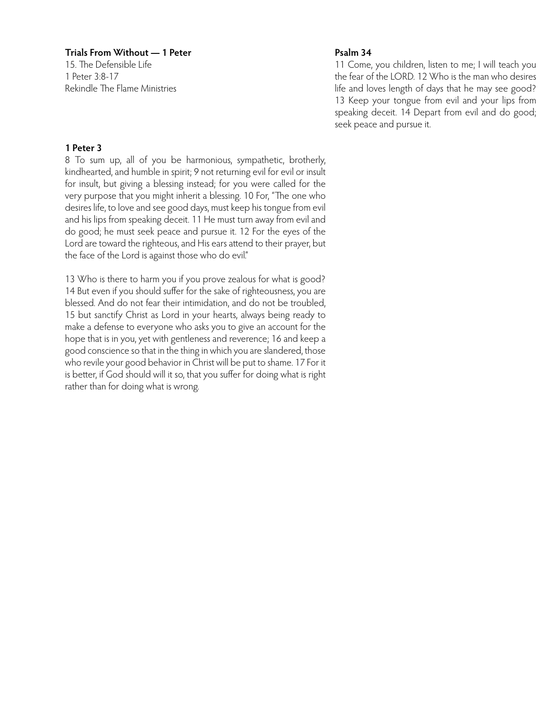15. The Defensible Life 1 Peter 3:8-17 Rekindle The Flame Ministries

#### **Psalm 34**

11 Come, you children, listen to me; I will teach you the fear of the LORD. 12 Who is the man who desires life and loves length of days that he may see good? 13 Keep your tongue from evil and your lips from speaking deceit. 14 Depart from evil and do good; seek peace and pursue it.

# **1 Peter 3**

8 To sum up, all of you be harmonious, sympathetic, brotherly, kindhearted, and humble in spirit; 9 not returning evil for evil or insult for insult, but giving a blessing instead; for you were called for the very purpose that you might inherit a blessing. 10 For, "The one who desires life, to love and see good days, must keep his tongue from evil and his lips from speaking deceit. 11 He must turn away from evil and do good; he must seek peace and pursue it. 12 For the eyes of the Lord are toward the righteous, and His ears attend to their prayer, but the face of the Lord is against those who do evil."

13 Who is there to harm you if you prove zealous for what is good? 14 But even if you should suffer for the sake of righteousness, you are blessed. And do not fear their intimidation, and do not be troubled, 15 but sanctify Christ as Lord in your hearts, always being ready to make a defense to everyone who asks you to give an account for the hope that is in you, yet with gentleness and reverence; 16 and keep a good conscience so that in the thing in which you are slandered, those who revile your good behavior in Christ will be put to shame. 17 For it is better, if God should will it so, that you suffer for doing what is right rather than for doing what is wrong.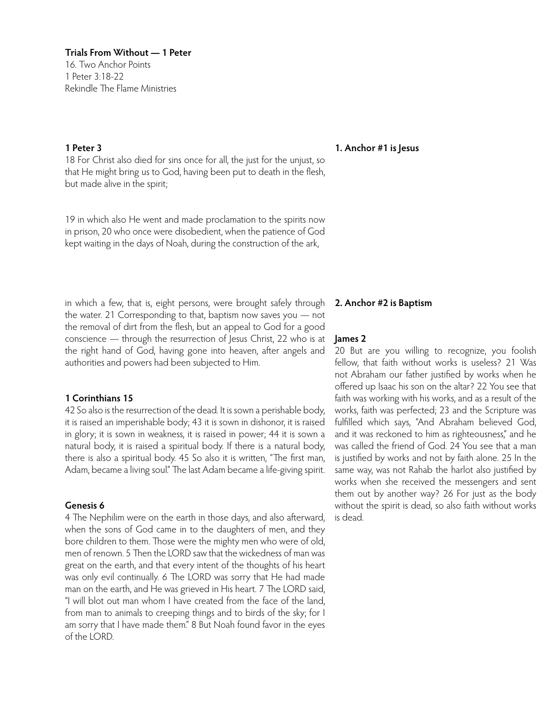**Trials From Without — 1 Peter** 16. Two Anchor Points 1 Peter 3:18-22 Rekindle The Flame Ministries

# **1 Peter 3**

18 For Christ also died for sins once for all, the just for the unjust, so that He might bring us to God, having been put to death in the flesh, but made alive in the spirit;

19 in which also He went and made proclamation to the spirits now in prison, 20 who once were disobedient, when the patience of God kept waiting in the days of Noah, during the construction of the ark,

in which a few, that is, eight persons, were brought safely through the water. 21 Corresponding to that, baptism now saves you — not the removal of dirt from the flesh, but an appeal to God for a good conscience — through the resurrection of Jesus Christ, 22 who is at the right hand of God, having gone into heaven, after angels and authorities and powers had been subjected to Him.

#### **1 Corinthians 15**

42 So also is the resurrection of the dead. It is sown a perishable body, it is raised an imperishable body; 43 it is sown in dishonor, it is raised in glory; it is sown in weakness, it is raised in power; 44 it is sown a natural body, it is raised a spiritual body. If there is a natural body, there is also a spiritual body. 45 So also it is written, "The first man, Adam, became a living soul." The last Adam became a life-giving spirit.

# **Genesis 6**

4 The Nephilim were on the earth in those days, and also afterward, when the sons of God came in to the daughters of men, and they bore children to them. Those were the mighty men who were of old, men of renown 5 Then the LORD saw that the wickedness of man was great on the earth, and that every intent of the thoughts of his heart was only evil continually. 6 The LORD was sorry that He had made man on the earth, and He was grieved in His heart. 7 The LORD said, "I will blot out man whom I have created from the face of the land, from man to animals to creeping things and to birds of the sky; for I am sorry that I have made them." 8 But Noah found favor in the eyes of the LORD.

#### **1. Anchor #1 is Jesus**

#### **2. Anchor #2 is Baptism**

#### **James 2**

20 But are you willing to recognize, you foolish fellow, that faith without works is useless? 21 Was not Abraham our father justified by works when he offered up Isaac his son on the altar? 22 You see that faith was working with his works, and as a result of the works, faith was perfected; 23 and the Scripture was fulfilled which says, "And Abraham believed God, and it was reckoned to him as righteousness," and he was called the friend of God. 24 You see that a man is justified by works and not by faith alone. 25 In the same way, was not Rahab the harlot also justified by works when she received the messengers and sent them out by another way? 26 For just as the body without the spirit is dead, so also faith without works is dead.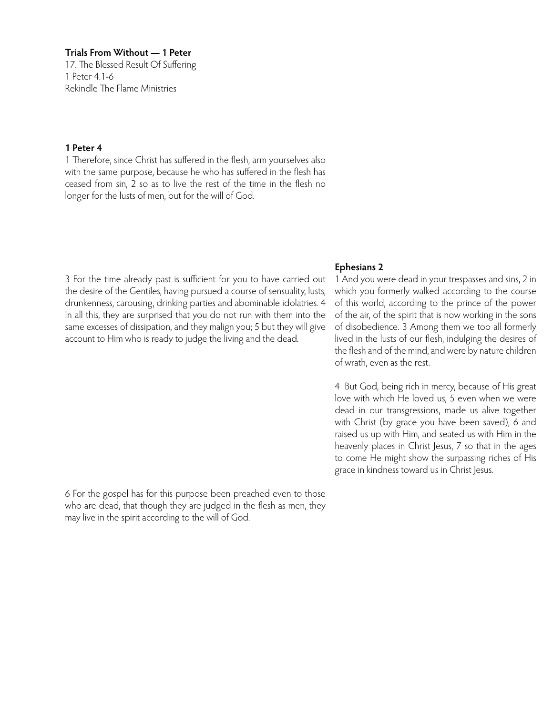17. The Blessed Result Of Suffering 1 Peter 4:1-6 Rekindle The Flame Ministries

#### **1 Peter 4**

1 Therefore, since Christ has suffered in the flesh, arm yourselves also with the same purpose, because he who has suffered in the flesh has ceased from sin, 2 so as to live the rest of the time in the flesh no longer for the lusts of men, but for the will of God.

#### **Ephesians 2**

3 For the time already past is sufficient for you to have carried out the desire of the Gentiles, having pursued a course of sensuality, lusts, drunkenness, carousing, drinking parties and abominable idolatries. 4 In all this, they are surprised that you do not run with them into the same excesses of dissipation, and they malign you; 5 but they will give account to Him who is ready to judge the living and the dead.

1 And you were dead in your trespasses and sins, 2 in which you formerly walked according to the course of this world, according to the prince of the power of the air, of the spirit that is now working in the sons of disobedience. 3 Among them we too all formerly lived in the lusts of our flesh, indulging the desires of the flesh and of the mind, and were by nature children of wrath, even as the rest.

4 But God, being rich in mercy, because of His great love with which He loved us, 5 even when we were dead in our transgressions, made us alive together with Christ (by grace you have been saved), 6 and raised us up with Him, and seated us with Him in the heavenly places in Christ Jesus, 7 so that in the ages to come He might show the surpassing riches of His grace in kindness toward us in Christ Jesus.

6 For the gospel has for this purpose been preached even to those who are dead, that though they are judged in the flesh as men, they may live in the spirit according to the will of God.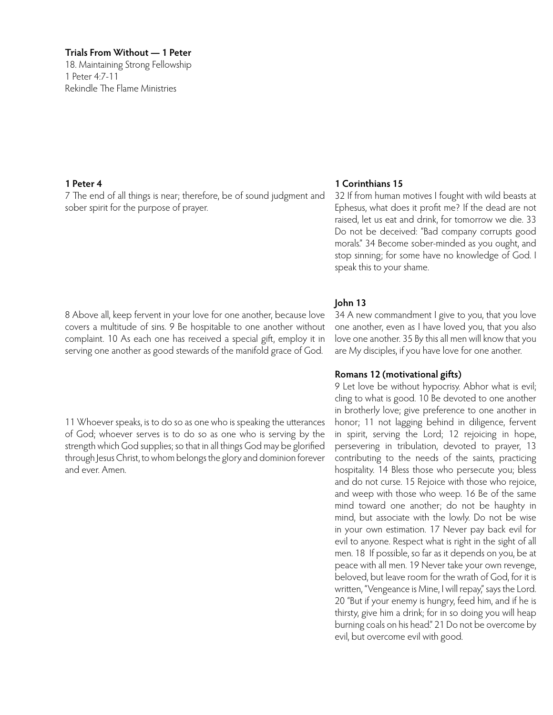18. Maintaining Strong Fellowship 1 Peter 4:7-11 Rekindle The Flame Ministries

#### **1 Peter 4**

7 The end of all things is near; therefore, be of sound judgment and sober spirit for the purpose of prayer.

# 8 Above all, keep fervent in your love for one another, because love covers a multitude of sins. 9 Be hospitable to one another without complaint. 10 As each one has received a special gift, employ it in serving one another as good stewards of the manifold grace of God.

11 Whoever speaks, is to do so as one who is speaking the utterances of God; whoever serves is to do so as one who is serving by the strength which God supplies; so that in all things God may be glorified through Jesus Christ, to whom belongs the glory and dominion forever and ever. Amen.

# **1 Corinthians 15**

32 If from human motives I fought with wild beasts at Ephesus, what does it profit me? If the dead are not raised, let us eat and drink, for tomorrow we die. 33 Do not be deceived: "Bad company corrupts good morals." 34 Become sober-minded as you ought, and stop sinning; for some have no knowledge of God. I speak this to your shame.

# **John 13**

34 A new commandment I give to you, that you love one another, even as I have loved you, that you also love one another. 35 By this all men will know that you are My disciples, if you have love for one another.

#### **Romans 12 (motivational gifts)**

9 Let love be without hypocrisy. Abhor what is evil; cling to what is good. 10 Be devoted to one another in brotherly love; give preference to one another in honor; 11 not lagging behind in diligence, fervent in spirit, serving the Lord; 12 rejoicing in hope, persevering in tribulation, devoted to prayer, 13 contributing to the needs of the saints, practicing hospitality. 14 Bless those who persecute you; bless and do not curse. 15 Rejoice with those who rejoice, and weep with those who weep. 16 Be of the same mind toward one another; do not be haughty in mind, but associate with the lowly. Do not be wise in your own estimation. 17 Never pay back evil for evil to anyone. Respect what is right in the sight of all men. 18 If possible, so far as it depends on you, be at peace with all men. 19 Never take your own revenge, beloved, but leave room for the wrath of God, for it is written, "Vengeance is Mine, I will repay," says the Lord. 20 "But if your enemy is hungry, feed him, and if he is thirsty, give him a drink; for in so doing you will heap burning coals on his head." 21 Do not be overcome by evil, but overcome evil with good.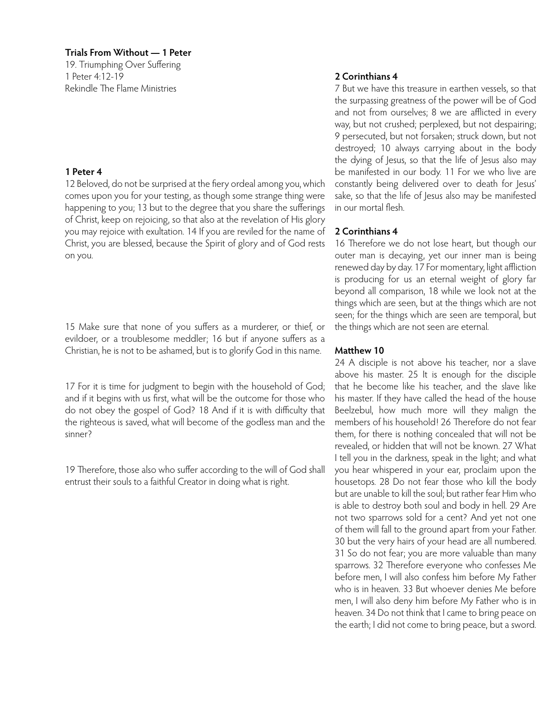19. Triumphing Over Suffering 1 Peter 4:12-19 Rekindle The Flame Ministries

#### **1 Peter 4**

12 Beloved, do not be surprised at the fiery ordeal among you, which comes upon you for your testing, as though some strange thing were happening to you; 13 but to the degree that you share the sufferings of Christ, keep on rejoicing, so that also at the revelation of His glory you may rejoice with exultation. 14 If you are reviled for the name of Christ, you are blessed, because the Spirit of glory and of God rests on you.

15 Make sure that none of you suffers as a murderer, or thief, or evildoer, or a troublesome meddler; 16 but if anyone suffers as a Christian, he is not to be ashamed, but is to glorify God in this name.

17 For it is time for judgment to begin with the household of God; and if it begins with us first, what will be the outcome for those who do not obey the gospel of God? 18 And if it is with difficulty that the righteous is saved, what will become of the godless man and the sinner?

19 Therefore, those also who suffer according to the will of God shall entrust their souls to a faithful Creator in doing what is right.

# **2 Corinthians 4**

7 But we have this treasure in earthen vessels, so that the surpassing greatness of the power will be of God and not from ourselves; 8 we are afflicted in every way, but not crushed; perplexed, but not despairing; 9 persecuted, but not forsaken; struck down, but not destroyed; 10 always carrying about in the body the dying of Jesus, so that the life of Jesus also may be manifested in our body. 11 For we who live are constantly being delivered over to death for Jesus' sake, so that the life of Jesus also may be manifested in our mortal flesh.

# **2 Corinthians 4**

16 Therefore we do not lose heart, but though our outer man is decaying, yet our inner man is being renewed day by day. 17 For momentary, light affliction is producing for us an eternal weight of glory far beyond all comparison, 18 while we look not at the things which are seen, but at the things which are not seen; for the things which are seen are temporal, but the things which are not seen are eternal.

# **Matthew 10**

24 A disciple is not above his teacher, nor a slave above his master. 25 It is enough for the disciple that he become like his teacher, and the slave like his master. If they have called the head of the house Beelzebul, how much more will they malign the members of his household! 26 Therefore do not fear them, for there is nothing concealed that will not be revealed, or hidden that will not be known. 27 What I tell you in the darkness, speak in the light; and what you hear whispered in your ear, proclaim upon the housetops. 28 Do not fear those who kill the body but are unable to kill the soul; but rather fear Him who is able to destroy both soul and body in hell. 29 Are not two sparrows sold for a cent? And yet not one of them will fall to the ground apart from your Father. 30 but the very hairs of your head are all numbered. 31 So do not fear; you are more valuable than many sparrows. 32 Therefore everyone who confesses Me before men, I will also confess him before My Father who is in heaven. 33 But whoever denies Me before men, I will also deny him before My Father who is in heaven. 34 Do not think that I came to bring peace on the earth; I did not come to bring peace, but a sword.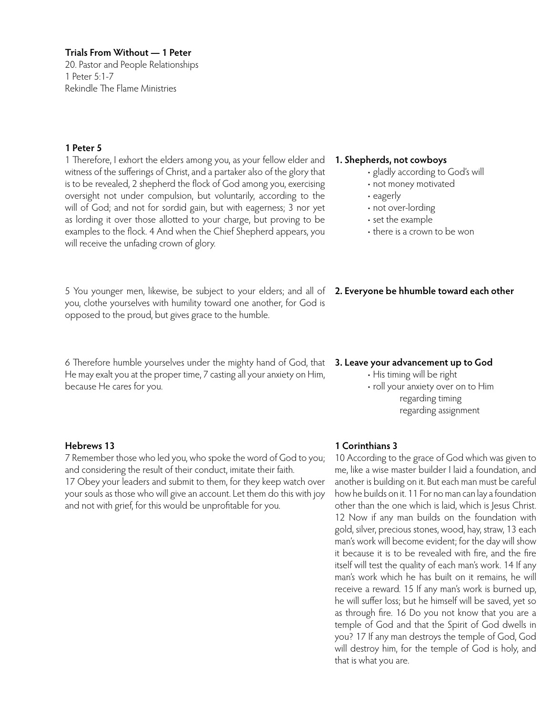20. Pastor and People Relationships 1 Peter 5:1-7 Rekindle The Flame Ministries

# **1 Peter 5**

1 Therefore, I exhort the elders among you, as your fellow elder and witness of the sufferings of Christ, and a partaker also of the glory that is to be revealed, 2 shepherd the flock of God among you, exercising oversight not under compulsion, but voluntarily, according to the will of God; and not for sordid gain, but with eagerness; 3 nor yet as lording it over those allotted to your charge, but proving to be examples to the flock. 4 And when the Chief Shepherd appears, you will receive the unfading crown of glory.

5 You younger men, likewise, be subject to your elders; and all of **2. Everyone be hhumble toward each other** you, clothe yourselves with humility toward one another, for God is opposed to the proud, but gives grace to the humble.

6 Therefore humble yourselves under the mighty hand of God, that **3. Leave your advancement up to God** He may exalt you at the proper time, 7 casting all your anxiety on Him, because He cares for you.

#### **Hebrews 13**

7 Remember those who led you, who spoke the word of God to you; and considering the result of their conduct, imitate their faith. 17 Obey your leaders and submit to them, for they keep watch over your souls as those who will give an account. Let them do this with joy and not with grief, for this would be unprofitable for you.

#### **1. Shepherds, not cowboys**

- gladly according to God's will
- not money motivated
- eagerly
- not over-lording
- set the example
- there is a crown to be won

• His timing will be right • roll your anxiety over on to Him regarding timing regarding assignment

# **1 Corinthians 3**

10 According to the grace of God which was given to me, like a wise master builder I laid a foundation, and another is building on it. But each man must be careful how he builds on it. 11 For no man can lay a foundation other than the one which is laid, which is Jesus Christ. 12 Now if any man builds on the foundation with gold, silver, precious stones, wood, hay, straw, 13 each man's work will become evident; for the day will show it because it is to be revealed with fire, and the fire itself will test the quality of each man's work. 14 If any man's work which he has built on it remains, he will receive a reward. 15 If any man's work is burned up, he will suffer loss; but he himself will be saved, yet so as through fire. 16 Do you not know that you are a temple of God and that the Spirit of God dwells in you? 17 If any man destroys the temple of God, God will destroy him, for the temple of God is holy, and that is what you are.